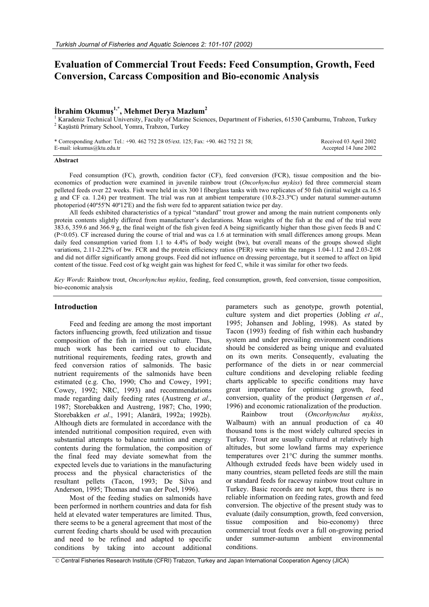# **Evaluation of Commercial Trout Feeds: Feed Consumption, Growth, Feed Conversion, Carcass Composition and Bio-economic Analysis**

## $i$ İbrahim Okumuş<sup>1,\*</sup>, Mehmet Derya Mazlum<sup>2</sup>

<sup>1</sup> Karadeniz Technical University, Faculty of Marine Sciences, Department of Fisheries, 61530 Çamburnu, Trabzon, Turkey <sup>2</sup> Kaşüstü Primary School, Yomra, Trabzon, Turkey

\* Corresponding Author: Tel.: +90. 462 752 28 05/ext. 125; Fax: +90. 462 752 21 58; E-mail: iokumus@ktu.edu.tr Received 03 April 2002 Accepted 14 June 2002

### **Abstract**

Feed consumption (FC), growth, condition factor (CF), feed conversion (FCR), tissue composition and the bioeconomics of production were examined in juvenile rainbow trout (*Oncorhynchus mykiss*) fed three commercial steam pelleted feeds over 22 weeks. Fish were held in six 300 l fiberglass tanks with two replicates of 50 fish (initial weight ca.16.5 g and CF ca. 1.24) per treatment. The trial was run at ambient temperature (10.8-23.3ºC) under natural summer-autumn photoperiod (40º55'N 40º12'E) and the fish were fed to apparent satiation twice per day.

All feeds exhibited characteristics of a typical "standard" trout grower and among the main nutrient components only protein contents slightly differed from manufacturer's declarations. Mean weights of the fish at the end of the trial were 383.6, 359.6 and 366.9 g, the final weight of the fish given feed A being significantly higher than those given feeds B and C  $(P< 0.05)$ . CF increased during the course of trial and was ca 1.6 at termination with small differences among groups. Mean daily feed consumption varied from 1.1 to 4.4% of body weight (bw), but overall means of the groups showed slight variations, 2.11-2.22% of bw. FCR and the protein efficiency ratios (PER) were within the ranges 1.04-1.12 and 2.03-2.08 and did not differ significantly among groups. Feed did not influence on dressing percentage, but it seemed to affect on lipid content of the tissue. Feed cost of kg weight gain was highest for feed C, while it was similar for other two feeds.

*Key Words*: Rainbow trout, *Oncorhynchus mykiss*, feeding, feed consumption, growth, feed conversion, tissue composition, bio-economic analysis

#### **Introduction**

Feed and feeding are among the most important factors influencing growth, feed utilization and tissue composition of the fish in intensive culture. Thus, much work has been carried out to elucidate nutritional requirements, feeding rates, growth and feed conversion ratios of salmonids. The basic nutrient requirements of the salmonids have been estimated (e.g. Cho, 1990; Cho and Cowey, 1991; Cowey, 1992; NRC, 1993) and recommendations made regarding daily feeding rates (Austreng *et al*., 1987; Storebakken and Austreng, 1987; Cho, 1990; Storebakken *et al*., 1991; Alanärä, 1992a; 1992b). Although diets are formulated in accordance with the intended nutritional composition required, even with substantial attempts to balance nutrition and energy contents during the formulation, the composition of the final feed may deviate somewhat from the expected levels due to variations in the manufacturing process and the physical characteristics of the resultant pellets (Tacon, 1993; De Silva and Anderson, 1995; Thomas and van der Poel, 1996).

Most of the feeding studies on salmonids have been performed in northern countries and data for fish held at elevated water temperatures are limited. Thus, there seems to be a general agreement that most of the current feeding charts should be used with precaution and need to be refined and adapted to specific conditions by taking into account additional

parameters such as genotype, growth potential, culture system and diet properties (Jobling *et al*., 1995; Johansen and Jobling, 1998). As stated by Tacon (1993) feeding of fish within each husbandry system and under prevailing environment conditions should be considered as being unique and evaluated on its own merits. Consequently, evaluating the performance of the diets in or near commercial culture conditions and developing reliable feeding charts applicable to specific conditions may have great importance for optimising growth, feed conversion, quality of the product (Jørgensen *et al*., 1996) and economic rationalization of the production.

Rainbow trout (*Oncorhynchus mykiss*, Walbaum) with an annual production of ca 40 thousand tons is the most widely cultured species in Turkey. Trout are usually cultured at relatively high altitudes, but some lowland farms may experience temperatures over 21°C during the summer months. Although extruded feeds have been widely used in many countries, steam pelleted feeds are still the main or standard feeds for raceway rainbow trout culture in Turkey. Basic records are not kept, thus there is no reliable information on feeding rates, growth and feed conversion. The objective of the present study was to evaluate (daily consumption, growth, feed conversion, tissue composition and bio-economy) three commercial trout feeds over a full on-growing period under summer-autumn ambient environmental conditions.

© Central Fisheries Research Institute (CFRI) Trabzon, Turkey and Japan International Cooperation Agency (JICA)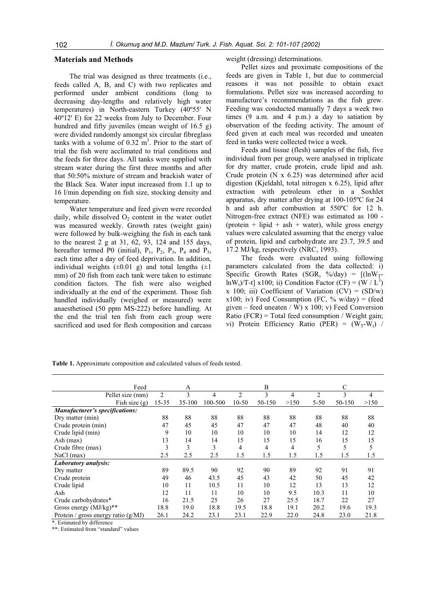## **Materials and Methods**

The trial was designed as three treatments (i.e., feeds called A, B, and C) with two replicates and performed under ambient conditions (long to decreasing day-lengths and relatively high water temperatures) in North-eastern Turkey (40º55' N 40º12' E) for 22 weeks from July to December. Four hundred and fifty juveniles (mean weight of 16.5 g) were divided randomly amongst six circular fibreglass tanks with a volume of  $0.32 \text{ m}^3$ . Prior to the start of trial the fish were acclimated to trial conditions and the feeds for three days. All tanks were supplied with stream water during the first three months and after that 50:50% mixture of stream and brackish water of the Black Sea. Water input increased from 1.1 up to 16 l/min depending on fish size, stocking density and temperature.

Water temperature and feed given were recorded daily, while dissolved  $O<sub>2</sub>$  content in the water outlet was measured weekly. Growth rates (weight gain) were followed by bulk-weighing the fish in each tank to the nearest 2 g at 31, 62, 93, 124 and 155 days, hereafter termed P0 (initial),  $P_1$ ,  $P_2$ ,  $P_3$ ,  $P_4$  and  $P_5$ , each time after a day of feed deprivation. In addition, individual weights  $(\pm 0.01 \text{ g})$  and total lengths  $(\pm 1)$ mm) of 20 fish from each tank were taken to estimate condition factors. The fish were also weighed individually at the end of the experiment. Those fish handled individually (weighed or measured) were anaesthetised (50 ppm MS-222) before handling. At the end the trial ten fish from each group were sacrificed and used for flesh composition and carcass

#### weight (dressing) determinations.

Pellet sizes and proximate compositions of the feeds are given in Table 1, but due to commercial reasons it was not possible to obtain exact formulations. Pellet size was increased according to manufacture's recommendations as the fish grew. Feeding was conducted manually 7 days a week two times (9 a.m. and 4 p.m.) a day to satiation by observation of the feeding activity. The amount of feed given at each meal was recorded and uneaten feed in tanks were collected twice a week.

Feeds and tissue (flesh) samples of the fish, five individual from per group, were analysed in triplicate for dry matter, crude protein, crude lipid and ash. Crude protein (N x 6.25) was determined after acid digestion (Kjeldahl, total nitrogen x 6.25), lipid after extraction with petroleum ether in a Soxhlet apparatus, dry matter after drying at 100-105ºC for 24 h and ash after combustion at 550ºC for 12 h. Nitrogen-free extract (NFE) was estimated as 100 - (protein + lipid + ash + water), while gross energy values were calculated assuming that the energy value of protein, lipid and carbohydrate are 23.7, 39.5 and 17.2 MJ/kg, respectively (NRC, 1993).

The feeds were evaluated using following parameters calculated from the data collected: i) Specific Growth Rates (SGR, %/day) =  $[(\ln W_T$  $ln W_t$ /T-t] x100; ii) Condition Factor (CF) = (W / L<sup>3</sup>) x 100; iii) Coefficient of Variation  $(CV) = (SD/w)$ x100; iv) Feed Consumption (FC,  $\%$  w/day) = (feed given – feed uneaten / W) x 100; v) Feed Conversion Ratio  $(FCR)$  = Total feed consumption / Weight gain; vi) Protein Efficiency Ratio (PER) =  $(W_T-W_t)$ 

| Feed                                  |       | A      |         |                | B      |      | C        |        |                |  |
|---------------------------------------|-------|--------|---------|----------------|--------|------|----------|--------|----------------|--|
| Pellet size (mm)                      | 2     | 3      | 4       | $\overline{2}$ | 3      | 4    | 2        | 3      | $\overline{4}$ |  |
| Fish size (g)                         | 15-35 | 35-100 | 100-500 | $10 - 50$      | 50-150 | >150 | $5 - 50$ | 50-150 | >150           |  |
| <b>Manufacturer's specifications:</b> |       |        |         |                |        |      |          |        |                |  |
| Dry matter (min)                      | 88    | 88     | 88      | 88             | 88     | 88   | 88       | 88     | 88             |  |
| Crude protein (min)                   | 47    | 45     | 45      | 47             | 47     | 47   | 48       | 40     | 40             |  |
| Crude lipid (min)                     | 9     | 10     | 10      | 10             | 10     | 10   | 14       | 12     | 12             |  |
| Ash $(max)$                           | 13    | 14     | 14      | 15             | 15     | 15   | 16       | 15     | 15             |  |
| Crude fibre (max)                     | 3     | 3      | 3       | 4              | 4      | 4    | 5        | 5      | 5              |  |
| NaCl (max)                            | 2.5   | 2.5    | 2.5     | 1.5            | 1.5    | 1.5  | 1.5      | 1.5    | 1.5            |  |
| Laboratory analysis:                  |       |        |         |                |        |      |          |        |                |  |
| Dry matter                            | 89    | 89.5   | 90      | 92             | 90     | 89   | 92       | 91     | 91             |  |
| Crude protein                         | 49    | 46     | 43.5    | 45             | 43     | 42   | 50       | 45     | 42             |  |
| Crude lipid                           | 10    | 11     | 10.5    | 11             | 10     | 12   | 13       | 13     | 12             |  |
| Ash                                   | 12    | 11     | 11      | 10             | 10     | 9.5  | 10.3     | 11     | 10             |  |
| Crude carbohydrates*                  | 16    | 21.5   | 25      | 26             | 27     | 25.5 | 18.7     | 22     | 27             |  |
| Gross energy $(MJ/kg)**$              | 18.8  | 19.0   | 18.8    | 19.5           | 18.8   | 19.1 | 20.2     | 19.6   | 19.3           |  |
| Protein / gross energy ratio $(g/MJ)$ | 26.1  | 24.2   | 23.1    | 23.1           | 22.9   | 22.0 | 24.8     | 23.0   | 21.8           |  |

**Table 1.** Approximate composition and calculated values of feeds tested.

\*. Estimated by difference

\*\*: Estimated from "standard" values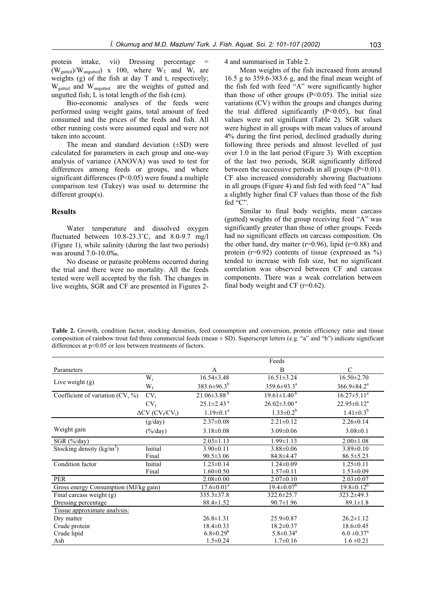protein intake, vii) Dressing percentage =  $(W_{guted})/W_{unguted}$  x 100, where  $W_T$  and  $W_t$  are weights (g) of the fish at day T and t, respectively; Wgutted and Wungutted are the weights of gutted and ungutted fish; L is total length of the fish (cm).

Bio-economic analyses of the feeds were performed using weight gains, total amount of feed consumed and the prices of the feeds and fish. All other running costs were assumed equal and were not taken into account.

The mean and standard deviation  $(\pm SD)$  were calculated for parameters in each group and one-way analysis of variance (ANOVA) was used to test for differences among feeds or groups, and where significant differences (P<0.05) were found a multiple comparison test (Tukey) was used to determine the different group(s).

## **Results**

Water temperature and dissolved oxygen fluctuated between 10.8-23.3˚C, and 8.0-9.7 mg/l (Figure 1), while salinity (during the last two periods) was around 7.0-10.0‰.

No disease or parasite problems occurred during the trial and there were no mortality. All the feeds tested were well accepted by the fish. The changes in live weights, SGR and CF are presented in Figures 24 and summarised in Table 2.

Mean weights of the fish increased from around 16.5 g to 359.6-383.6 g, and the final mean weight of the fish fed with feed "A" were significantly higher than those of other groups  $(P<0.05)$ . The initial size variations (CV) within the groups and changes during the trial differed significantly  $(P<0.05)$ , but final values were not significant (Table 2). SGR values were highest in all groups with mean values of around 4% during the first period, declined gradually during following three periods and almost levelled of just over 1.0 in the last period (Figure 3). With exception of the last two periods, SGR significantly differed between the successive periods in all groups (P<0.01). CF also increased considerably showing fluctuations in all groups (Figure 4) and fish fed with feed "A" had a slightly higher final CF values than those of the fish fed "C".

Similar to final body weights, mean carcass (gutted) weights of the group receiving feed "A" was significantly greater than those of other groups. Feeds had no significant effects on carcass composition. On the other hand, dry matter ( $r=0.96$ ), lipid ( $r=0.88$ ) and protein ( $r=0.92$ ) contents of tissue (expressed as  $\%$ ) tended to increase with fish size, but no significant correlation was observed between CF and carcass components. There was a weak correlation between final body weight and CF (r=0.62).

**Table 2.** Growth, condition factor, stocking densities, feed consumption and conversion, protein efficiency ratio and tissue composition of rainbow trout fed three commercial feeds (mean ± SD). Superscript letters (e.g. "a" and "b") indicate significant differences at  $p<0.05$  or less between treatments of factors.

|                                       |                                                 |                              | Feeds                        |                             |  |
|---------------------------------------|-------------------------------------------------|------------------------------|------------------------------|-----------------------------|--|
| Parameters                            |                                                 | A                            | B                            | C                           |  |
|                                       | $W_i$                                           | $16.54 \pm 3.48$             | $16.51 \pm 3.24$             | $16.50 \pm 2.70$            |  |
| Live weight $(g)$                     | $W_f$                                           | 383.6±96.3 <sup>b</sup>      | $359.6 \pm 93.3^{\text{a}}$  | $366.9 \pm 84.2^{\text{a}}$ |  |
| Coefficient of variation $(CV, %)$    | $CV_i$                                          | $21.06\pm3.88^{b}$           | $19.61 \pm 1.40^{b}$         | $16.27 \pm 5.11^a$          |  |
|                                       | $CV_f$                                          | $25.1 \pm 2.43$ <sup>a</sup> | $26.02 \pm 3.00^{\text{ a}}$ | $22.95 \pm 0.12^a$          |  |
|                                       | $\Delta CV$ (CV <sub>f</sub> /CV <sub>i</sub> ) | $1.19 \pm 0.1^a$             | $1.33 \pm 0.2^b$             | $1.41 \pm 0.3^{b}$          |  |
|                                       | (g/day)                                         | $2.37 \pm 0.08$              | $2.21 \pm 0.12$              | $2.26 \pm 0.14$             |  |
| Weight gain                           | $(\frac{6}{\text{day}})$                        | $3.18 \pm 0.08$              | $3.09 \pm 0.06$              | $3.08 \pm 0.1$              |  |
| $SGR$ (%/day)                         |                                                 | $2.03 \pm 1.13$              | $1.99 \pm 1.13$              | $2.00 \pm 1.08$             |  |
| Stocking density $(kg/m3)$            | Initial                                         | $3.90 \pm 0.11$              | $3.88 \pm 0.06$              | $3.89 \pm 0.10$             |  |
|                                       | Final                                           | $90.5 \pm 3.06$              | 84.8±4.47                    | $86.5 \pm 5.23$             |  |
| Condition factor                      | Initial                                         | $1.23 \pm 0.14$              | $1.24 \pm 0.09$              | $1.25 \pm 0.11$             |  |
|                                       | Final                                           | $1.60 \pm 0.50$              | $1.57 \pm 0.11$              | $1.53 \pm 0.09$             |  |
| PER                                   |                                                 | $2.08 \pm 0.00$              | $2.07 \pm 0.10$              | $2.03 \pm 0.07$             |  |
| Gross energy Consumption (MJ/kg gain) |                                                 | $17.6 \pm 0.01^a$            | $19.4 \pm 0.07^b$            | $19.8 \pm 0.12^b$           |  |
| Final carcass weight (g)              |                                                 | $335.3 \pm 37.8$             | 322.6±25.7                   | 323.2±49.3                  |  |
| Dressing percentage                   |                                                 | $88.4 \pm 1.52$              | $90.7 \pm 1.96$              | $89.1 \pm 1.8$              |  |
| Tissue approximate analysis:          |                                                 |                              |                              |                             |  |
| Dry matter                            |                                                 | $26.8 \pm 1.31$              | $25.9 \pm 0.87$              | $26.2 \pm 1.12$             |  |
| Crude protein                         |                                                 | $18.4 \pm 0.33$              | $18.2 \pm 0.37$              | $18.6 \pm 0.45$             |  |
| Crude lipid                           |                                                 | $6.8 \pm 0.29^b$             | $5.8 \pm 0.34$ <sup>a</sup>  | $6.0 \pm 0.37^{\text{a}}$   |  |
| Ash                                   |                                                 | $1.5 \pm 0.24$               | $1.7 \pm 0.16$               | $1.6 \pm 0.21$              |  |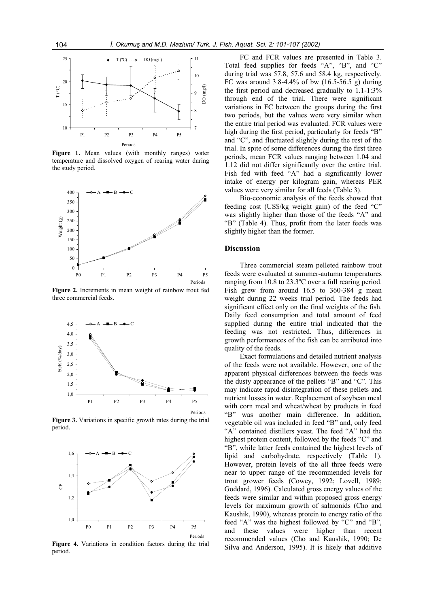

**Figure 1.** Mean values (with monthly ranges) water temperature and dissolved oxygen of rearing water during the study period.



**Figure 2.** Increments in mean weight of rainbow trout fed three commercial feeds.



**Figure 3.** Variations in specific growth rates during the trial period.



**Figure 4.** Variations in condition factors during the trial period.

FC and FCR values are presented in Table 3. Total feed supplies for feeds "A", "B", and "C" during trial was 57.8, 57.6 and 58.4 kg, respectively. FC was around  $3.8-4.4\%$  of bw  $(16.5-56.5 \text{ g})$  during the first period and decreased gradually to 1.1-1:3% through end of the trial. There were significant variations in FC between the groups during the first two periods, but the values were very similar when the entire trial period was evaluated. FCR values were high during the first period, particularly for feeds "B" and "C", and fluctuated slightly during the rest of the trial. In spite of some differences during the first three periods, mean FCR values ranging between 1.04 and 1.12 did not differ significantly over the entire trial. Fish fed with feed "A" had a significantly lower intake of energy per kilogram gain, whereas PER values were very similar for all feeds (Table 3).

Bio-economic analysis of the feeds showed that feeding cost (US\$/kg weight gain) of the feed "C" was slightly higher than those of the feeds "A" and "B" (Table 4). Thus, profit from the later feeds was slightly higher than the former.

## **Discussion**

Three commercial steam pelleted rainbow trout feeds were evaluated at summer-autumn temperatures ranging from 10.8 to 23.3ºC over a full rearing period. Fish grew from around 16.5 to 360-384 g mean weight during 22 weeks trial period. The feeds had significant effect only on the final weights of the fish. Daily feed consumption and total amount of feed supplied during the entire trial indicated that the feeding was not restricted. Thus, differences in growth performances of the fish can be attributed into quality of the feeds.

Exact formulations and detailed nutrient analysis of the feeds were not available. However, one of the apparent physical differences between the feeds was the dusty appearance of the pellets "B" and "C". This may indicate rapid disintegration of these pellets and nutrient losses in water. Replacement of soybean meal with corn meal and wheat/wheat by products in feed "B" was another main difference. In addition, vegetable oil was included in feed "B" and, only feed "A" contained distillers yeast. The feed "A" had the highest protein content, followed by the feeds "C" and "B", while latter feeds contained the highest levels of lipid and carbohydrate, respectively (Table 1). However, protein levels of the all three feeds were near to upper range of the recommended levels for trout grower feeds (Cowey, 1992; Lovell, 1989; Goddard, 1996). Calculated gross energy values of the feeds were similar and within proposed gross energy levels for maximum growth of salmonids (Cho and Kaushik, 1990), whereas protein to energy ratio of the feed "A" was the highest followed by "C" and "B", and these values were higher than recent recommended values (Cho and Kaushik, 1990; De Silva and Anderson, 1995). It is likely that additive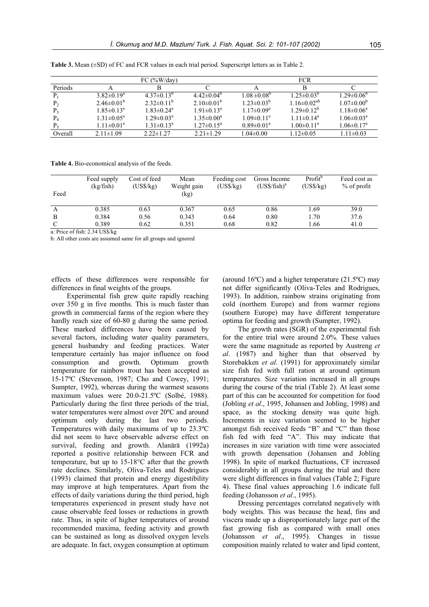|                |                            | FC $(\frac{9}{6}W/day)$      |                            |                   | <b>FCR</b>           |                              |
|----------------|----------------------------|------------------------------|----------------------------|-------------------|----------------------|------------------------------|
| Periods        |                            |                              |                            |                   | в                    |                              |
| P <sub>1</sub> | $3.82\pm0.19^a$            | $4.37\pm0.13^{b}$            | $4.42\pm0.04^b$            | $1.08 \pm 0.08^b$ | $1.25 \pm 0.03^b$    | $1.29 \pm 0.06^{\circ}$      |
| P <sub>2</sub> | $2.46\pm0.01^{b}$          | $2.32 \pm 0.11^b$            | $2.10\pm0.01^{b}$          | $1.23 \pm 0.03^b$ | $1.16 \pm 0.02^{ab}$ | $1.07 \pm 0.00^b$            |
|                | $1.85 \pm 0.13^a$          | $1.83 \pm 0.24$ <sup>a</sup> | $1.91 \pm 0.13^a$          | $1.17 \pm 0.09^a$ | $1.29 \pm 0.12^b$    | $1.18 \pm 0.06^a$            |
| $P_4$          | $1.31 \pm 0.05^{\text{a}}$ | $1.29 \pm 0.03^{\text{a}}$   | $1.35 \pm 0.00^a$          | $1.09 \pm 0.11^a$ | $1.11 \pm 0.14^a$    | $1.06 \pm 0.03^{\text{a}}$   |
|                | $1.11 \pm 0.01^a$          | $1.31 \pm 0.13^a$            | $1.27 \pm 0.15^{\text{a}}$ | $0.89 \pm 0.01^a$ | $1.00 \pm 0.11^a$    | $1.06 \pm 0.17$ <sup>a</sup> |
| Overall        | $2.11 \pm 1.09$            | $2.22 \pm 1.27$              | $2.21 \pm 1.29$            | $1.04 \pm 0.00$   | $1.12\pm0.05$        | $1.11 \pm 0.03$              |

**Table 3.** Mean (±SD) of FC and FCR values in each trial period. Superscript letters as in Table 2.

**Table 4.** Bio-economical analysis of the feeds.

| Feed          | Feed supply<br>(kg/fish) | Cost of feed<br>(USS/kg) | Mean<br>Weight gain<br>(kg) | Feeding cost<br>(USS/kg) | Gross Income<br>$(US\frac{5}{15}h)^a$ | Profit <sup>o</sup><br>(USS/kg) | Feed cost as<br>$%$ of profit |
|---------------|--------------------------|--------------------------|-----------------------------|--------------------------|---------------------------------------|---------------------------------|-------------------------------|
| A             | 0.385                    | 0.63                     | 0.367                       | 0.65                     | 0.86                                  | 1.69                            | 39.0                          |
| B             | 0.384                    | 0.56                     | 0.343                       | 0.64                     | 0.80                                  | 1.70                            | 37.6                          |
| $\mathcal{C}$ | 0.389                    | 0.62                     | 0.351                       | 0.68                     | 0.82                                  | 1.66                            | 41.0                          |
| $\mathbf{r}$  | 0.021<br>$2.21$ Transfl  |                          |                             |                          |                                       |                                 |                               |

a: Price of fish: 2.34 US\$/kg

b: All other costs are assumed same for all groups and ignored

effects of these differences were responsible for differences in final weights of the groups.

Experimental fish grew quite rapidly reaching over 350 g in five months. This is much faster than growth in commercial farms of the region where they hardly reach size of 60-80 g during the same period. These marked differences have been caused by several factors, including water quality parameters, general husbandry and feeding practices. Water temperature certainly has major influence on food consumption and growth. Optimum growth temperature for rainbow trout has been accepted as 15-17ºC (Stevenson, 1987; Cho and Cowey, 1991; Sumpter, 1992), whereas during the warmest seasons maximum values were 20.0-21.5ºC (Solbé, 1988). Particularly during the first three periods of the trial, water temperatures were almost over 20ºC and around optimum only during the last two periods. Temperatures with daily maximums of up to 23.3ºC did not seem to have observable adverse effect on survival, feeding and growth. Alanärä (1992a) reported a positive relationship between FCR and temperature, but up to 15-18°C after that the growth rate declines. Similarly, Oliva-Teles and Rodrigues (1993) claimed that protein and energy digestibility may improve at high temperatures. Apart from the effects of daily variations during the third period, high temperatures experienced in present study have not cause observable feed losses or reductions in growth rate. Thus, in spite of higher temperatures of around recommended maxima, feeding activity and growth can be sustained as long as dissolved oxygen levels are adequate. In fact, oxygen consumption at optimum (around 16ºC) and a higher temperature (21.5ºC) may not differ significantly (Oliva-Teles and Rodrigues, 1993). In addition, rainbow strains originating from cold (northern Europe) and from warmer regions (southern Europe) may have different temperature optima for feeding and growth (Sumpter, 1992).

The growth rates (SGR) of the experimental fish for the entire trial were around 2.0%. These values were the same magnitude as reported by Austreng *et al*. (1987) and higher than that observed by Storebakken *et al*. (1991) for approximately similar size fish fed with full ration at around optimum temperatures. Size variation increased in all groups during the course of the trial (Table 2). At least some part of this can be accounted for competition for food (Jobling *et al*., 1995, Johansen and Jobling, 1998) and space, as the stocking density was quite high. Increments in size variation seemed to be higher amongst fish received feeds "B" and "C" than those fish fed with feed "A". This may indicate that increases in size variation with time were associated with growth depensation (Johansen and Jobling 1998). In spite of marked fluctuations, CF increased considerably in all groups during the trial and there were slight differences in final values (Table 2; Figure 4). These final values approaching 1.6 indicate full feeding (Johansson *et al*., 1995).

Dressing percentages correlated negatively with body weights. This was because the head, fins and viscera made up a disproportionately large part of the fast growing fish as compared with small ones (Johansson *et al*., 1995). Changes in tissue composition mainly related to water and lipid content,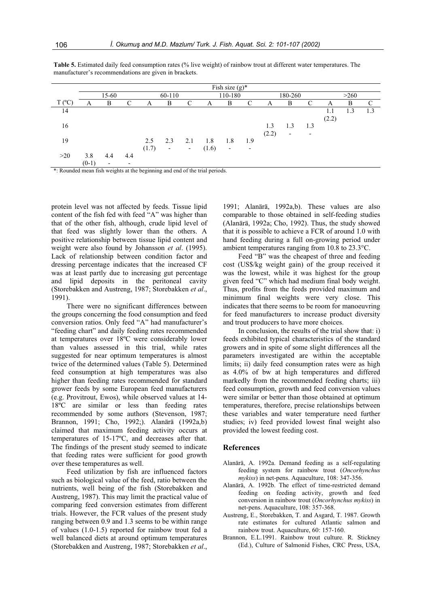|                                                                            | Fish size $(g)^*$ |                          |                          |        |                          |                          |         |                          |     |         |                          |     |       |     |     |
|----------------------------------------------------------------------------|-------------------|--------------------------|--------------------------|--------|--------------------------|--------------------------|---------|--------------------------|-----|---------|--------------------------|-----|-------|-----|-----|
|                                                                            | 15-60             |                          |                          | 60-110 |                          |                          | 110-180 |                          |     | 180-260 |                          |     | >260  |     |     |
| $T (^{\circ}C)$                                                            | A                 | B                        | C                        | A      | B                        | C                        | A       | B                        | C   | A       | B                        | C   | A     | B   | C   |
| 14                                                                         |                   |                          |                          |        |                          |                          |         |                          |     |         |                          |     | 1.1   | 1.3 | 1.3 |
|                                                                            |                   |                          |                          |        |                          |                          |         |                          |     |         |                          |     | (2.2) |     |     |
| 16                                                                         |                   |                          |                          |        |                          |                          |         |                          |     | 1.3     | 1.3                      | 1.3 |       |     |     |
|                                                                            |                   |                          |                          |        |                          |                          |         |                          |     | (2.2)   | $\overline{\phantom{a}}$ |     |       |     |     |
| 19                                                                         |                   |                          |                          | 2.5    | 2.3                      | 2.1                      | 1.8     | 1.8                      | 1.9 |         |                          |     |       |     |     |
|                                                                            |                   |                          |                          | (1.7)  | $\overline{\phantom{a}}$ | $\overline{\phantom{a}}$ | (1.6)   | $\overline{\phantom{a}}$ | ۰   |         |                          |     |       |     |     |
| >20                                                                        | 3.8               | 4.4                      | 4.4                      |        |                          |                          |         |                          |     |         |                          |     |       |     |     |
|                                                                            | $(0-1)$           | $\overline{\phantom{a}}$ | $\overline{\phantom{0}}$ |        |                          |                          |         |                          |     |         |                          |     |       |     |     |
| * Dounded mean fight woights at the heginning and and of the trial periods |                   |                          |                          |        |                          |                          |         |                          |     |         |                          |     |       |     |     |

**Table 5.** Estimated daily feed consumption rates (% live weight) of rainbow trout at different water temperatures. The manufacturer's recommendations are given in brackets.

\*: Rounded mean fish weights at the beginning and end of the trial periods.

protein level was not affected by feeds. Tissue lipid content of the fish fed with feed "A" was higher than that of the other fish, although, crude lipid level of that feed was slightly lower than the others. A positive relationship between tissue lipid content and weight were also found by Johansson *et al*. (1995). Lack of relationship between condition factor and dressing percentage indicates that the increased CF was at least partly due to increasing gut percentage and lipid deposits in the peritoneal cavity (Storebakken and Austreng, 1987; Storebakken *et al*., 1991).

There were no significant differences between the groups concerning the food consumption and feed conversion ratios. Only feed "A" had manufacturer's "feeding chart" and daily feeding rates recommended at temperatures over 18ºC were considerably lower than values assessed in this trial, while rates suggested for near optimum temperatures is almost twice of the determined values (Table 5). Determined feed consumption at high temperatures was also higher than feeding rates recommended for standard grower feeds by some European feed manufacturers (e.g. Provitrout, Ewos), while observed values at 14- 18ºC are similar or less than feeding rates recommended by some authors (Stevenson, 1987; Brannon, 1991; Cho, 1992;). Alanärä (1992a,b) claimed that maximum feeding activity occurs at temperatures of 15-17ºC, and decreases after that. The findings of the present study seemed to indicate that feeding rates were sufficient for good growth over these temperatures as well.

Feed utilization by fish are influenced factors such as biological value of the feed, ratio between the nutrients, well being of the fish (Storebakken and Austreng, 1987). This may limit the practical value of comparing feed conversion estimates from different trials. However, the FCR values of the present study ranging between 0.9 and 1.3 seems to be within range of values (1.0-1.5) reported for rainbow trout fed a well balanced diets at around optimum temperatures (Storebakken and Austreng, 1987; Storebakken *et al*.,

1991; Alanärä, 1992a,b). These values are also comparable to those obtained in self-feeding studies (Alanärä, 1992a; Cho, 1992). Thus, the study showed that it is possible to achieve a FCR of around 1.0 with hand feeding during a full on-growing period under ambient temperatures ranging from 10.8 to 23.3°C.

Feed "B" was the cheapest of three and feeding cost (US\$/kg weight gain) of the group received it was the lowest, while it was highest for the group given feed "C" which had medium final body weight. Thus, profits from the feeds provided maximum and minimum final weights were very close. This indicates that there seems to be room for manoeuvring for feed manufacturers to increase product diversity and trout producers to have more choices.

In conclusion, the results of the trial show that: i) feeds exhibited typical characteristics of the standard growers and in spite of some slight differences all the parameters investigated are within the acceptable limits; ii) daily feed consumption rates were as high as 4.0% of bw at high temperatures and differed markedly from the recommended feeding charts; iii) feed consumption, growth and feed conversion values were similar or better than those obtained at optimum temperatures, therefore, precise relationships between these variables and water temperature need further studies; iv) feed provided lowest final weight also provided the lowest feeding cost.

## **References**

- Alanärä, A. 1992a. Demand feeding as a self-regulating feeding system for rainbow trout (*Oncorhynchus mykiss*) in net-pens. Aquaculture, 108: 347-356.
- Alanärä, A. 1992b. The effect of time-restricted demand feeding on feeding activity, growth and feed conversion in rainbow trout (*Oncorhynchus mykiss*) in net-pens. Aquaculture, 108: 357-368.
- Austreng, E., Storebakken, T. and Asgard, T. 1987. Growth rate estimates for cultured Atlantic salmon and rainbow trout. Aquaculture, 60: 157-160.
- Brannon, E.L.1991. Rainbow trout culture. R. Stickney (Ed.), Culture of Salmonid Fishes, CRC Press, USA,